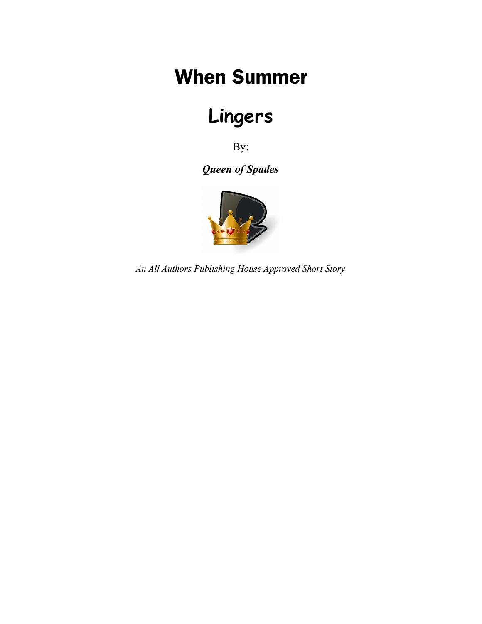## When Summer

# **Lingers**

By:

*Queen of Spades*



*An All Authors Publishing House Approved Short Story*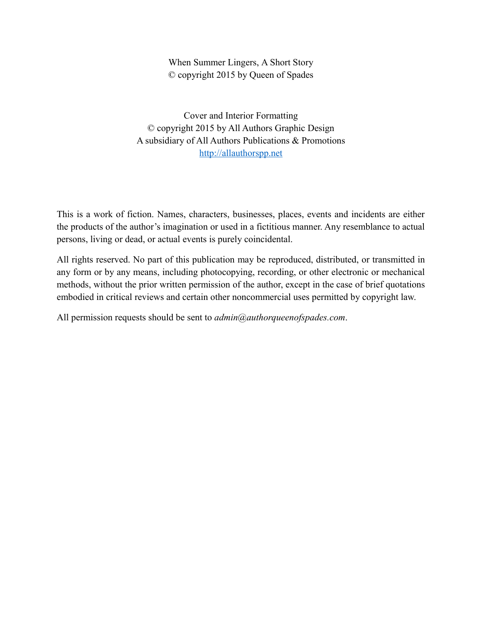#### When Summer Lingers, A Short Story © copyright 2015 by Queen of Spades

Cover and Interior Formatting © copyright 2015 by All Authors Graphic Design A subsidiary of All Authors Publications & Promotions [http://allauthorspp.net](http://allauthorspp.net/)

This is a work of fiction. Names, characters, businesses, places, events and incidents are either the products of the author's imagination or used in a fictitious manner. Any resemblance to actual persons, living or dead, or actual events is purely coincidental.

All rights reserved. No part of this publication may be reproduced, distributed, or transmitted in any form or by any means, including photocopying, recording, or other electronic or mechanical methods, without the prior written permission of the author, except in the case of brief quotations embodied in critical reviews and certain other noncommercial uses permitted by copyright law.

All permission requests should be sent to *admin@authorqueenofspades.com*.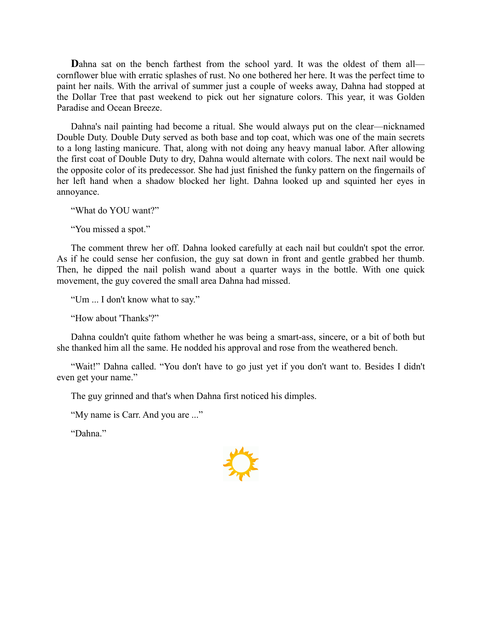**D**ahna sat on the bench farthest from the school yard. It was the oldest of them all cornflower blue with erratic splashes of rust. No one bothered her here. It was the perfect time to paint her nails. With the arrival of summer just a couple of weeks away, Dahna had stopped at the Dollar Tree that past weekend to pick out her signature colors. This year, it was Golden Paradise and Ocean Breeze.

Dahna's nail painting had become a ritual. She would always put on the clear—nicknamed Double Duty. Double Duty served as both base and top coat, which was one of the main secrets to a long lasting manicure. That, along with not doing any heavy manual labor. After allowing the first coat of Double Duty to dry, Dahna would alternate with colors. The next nail would be the opposite color of its predecessor. She had just finished the funky pattern on the fingernails of her left hand when a shadow blocked her light. Dahna looked up and squinted her eyes in annoyance.

"What do YOU want?"

"You missed a spot."

The comment threw her off. Dahna looked carefully at each nail but couldn't spot the error. As if he could sense her confusion, the guy sat down in front and gentle grabbed her thumb. Then, he dipped the nail polish wand about a quarter ways in the bottle. With one quick movement, the guy covered the small area Dahna had missed.

"Um ... I don't know what to say."

"How about 'Thanks'?"

Dahna couldn't quite fathom whether he was being a smart-ass, sincere, or a bit of both but she thanked him all the same. He nodded his approval and rose from the weathered bench.

"Wait!" Dahna called. "You don't have to go just yet if you don't want to. Besides I didn't even get your name."

The guy grinned and that's when Dahna first noticed his dimples.

"My name is Carr. And you are ..."

"Dahna."

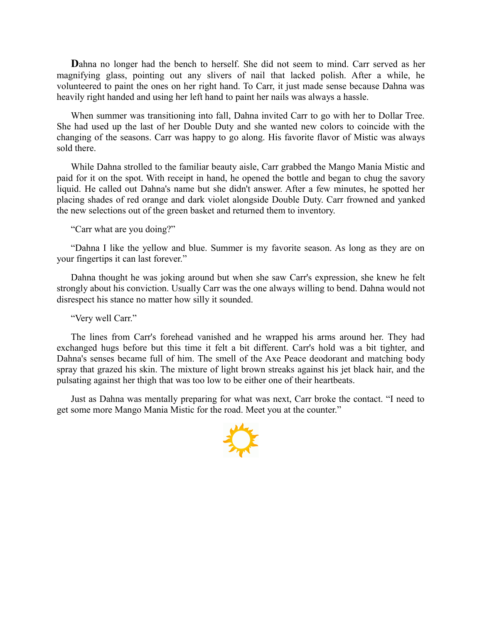**D**ahna no longer had the bench to herself. She did not seem to mind. Carr served as her magnifying glass, pointing out any slivers of nail that lacked polish. After a while, he volunteered to paint the ones on her right hand. To Carr, it just made sense because Dahna was heavily right handed and using her left hand to paint her nails was always a hassle.

When summer was transitioning into fall, Dahna invited Carr to go with her to Dollar Tree. She had used up the last of her Double Duty and she wanted new colors to coincide with the changing of the seasons. Carr was happy to go along. His favorite flavor of Mistic was always sold there.

While Dahna strolled to the familiar beauty aisle, Carr grabbed the Mango Mania Mistic and paid for it on the spot. With receipt in hand, he opened the bottle and began to chug the savory liquid. He called out Dahna's name but she didn't answer. After a few minutes, he spotted her placing shades of red orange and dark violet alongside Double Duty. Carr frowned and yanked the new selections out of the green basket and returned them to inventory.

"Carr what are you doing?"

"Dahna I like the yellow and blue. Summer is my favorite season. As long as they are on your fingertips it can last forever."

Dahna thought he was joking around but when she saw Carr's expression, she knew he felt strongly about his conviction. Usually Carr was the one always willing to bend. Dahna would not disrespect his stance no matter how silly it sounded.

"Very well Carr."

The lines from Carr's forehead vanished and he wrapped his arms around her. They had exchanged hugs before but this time it felt a bit different. Carr's hold was a bit tighter, and Dahna's senses became full of him. The smell of the Axe Peace deodorant and matching body spray that grazed his skin. The mixture of light brown streaks against his jet black hair, and the pulsating against her thigh that was too low to be either one of their heartbeats.

Just as Dahna was mentally preparing for what was next, Carr broke the contact. "I need to get some more Mango Mania Mistic for the road. Meet you at the counter."

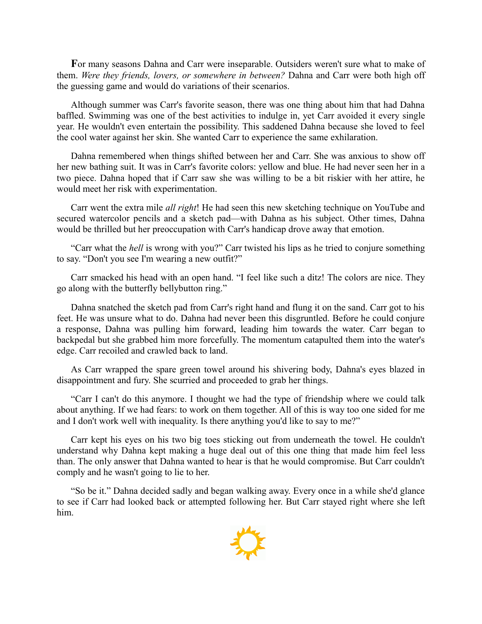**F**or many seasons Dahna and Carr were inseparable. Outsiders weren't sure what to make of them. *Were they friends, lovers, or somewhere in between?* Dahna and Carr were both high off the guessing game and would do variations of their scenarios.

Although summer was Carr's favorite season, there was one thing about him that had Dahna baffled. Swimming was one of the best activities to indulge in, yet Carr avoided it every single year. He wouldn't even entertain the possibility. This saddened Dahna because she loved to feel the cool water against her skin. She wanted Carr to experience the same exhilaration.

Dahna remembered when things shifted between her and Carr. She was anxious to show off her new bathing suit. It was in Carr's favorite colors: yellow and blue. He had never seen her in a two piece. Dahna hoped that if Carr saw she was willing to be a bit riskier with her attire, he would meet her risk with experimentation.

Carr went the extra mile *all right*! He had seen this new sketching technique on YouTube and secured watercolor pencils and a sketch pad—with Dahna as his subject. Other times, Dahna would be thrilled but her preoccupation with Carr's handicap drove away that emotion.

"Carr what the *hell* is wrong with you?" Carr twisted his lips as he tried to conjure something to say. "Don't you see I'm wearing a new outfit?"

Carr smacked his head with an open hand. "I feel like such a ditz! The colors are nice. They go along with the butterfly bellybutton ring."

Dahna snatched the sketch pad from Carr's right hand and flung it on the sand. Carr got to his feet. He was unsure what to do. Dahna had never been this disgruntled. Before he could conjure a response, Dahna was pulling him forward, leading him towards the water. Carr began to backpedal but she grabbed him more forcefully. The momentum catapulted them into the water's edge. Carr recoiled and crawled back to land.

As Carr wrapped the spare green towel around his shivering body, Dahna's eyes blazed in disappointment and fury. She scurried and proceeded to grab her things.

"Carr I can't do this anymore. I thought we had the type of friendship where we could talk about anything. If we had fears: to work on them together. All of this is way too one sided for me and I don't work well with inequality. Is there anything you'd like to say to me?"

Carr kept his eyes on his two big toes sticking out from underneath the towel. He couldn't understand why Dahna kept making a huge deal out of this one thing that made him feel less than. The only answer that Dahna wanted to hear is that he would compromise. But Carr couldn't comply and he wasn't going to lie to her.

"So be it." Dahna decided sadly and began walking away. Every once in a while she'd glance to see if Carr had looked back or attempted following her. But Carr stayed right where she left him.

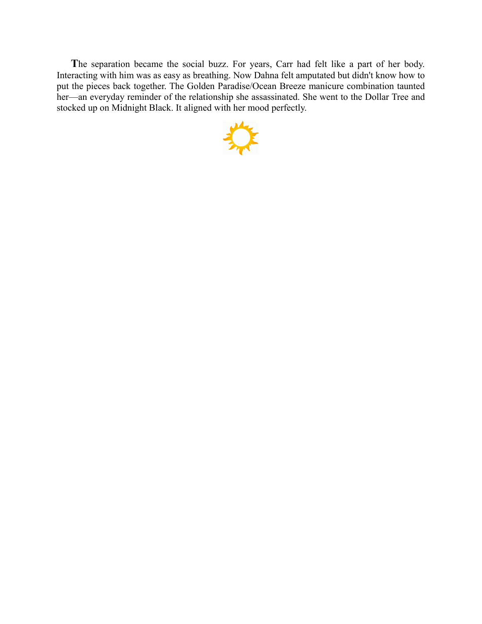**T**he separation became the social buzz. For years, Carr had felt like a part of her body. Interacting with him was as easy as breathing. Now Dahna felt amputated but didn't know how to put the pieces back together. The Golden Paradise/Ocean Breeze manicure combination taunted her—an everyday reminder of the relationship she assassinated. She went to the Dollar Tree and stocked up on Midnight Black. It aligned with her mood perfectly.

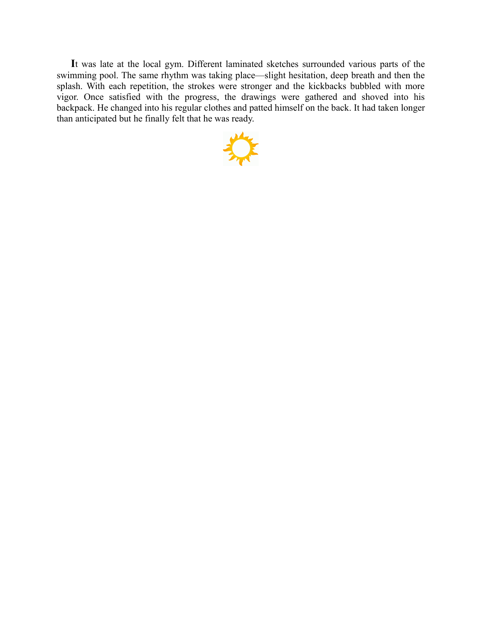**I**t was late at the local gym. Different laminated sketches surrounded various parts of the swimming pool. The same rhythm was taking place—slight hesitation, deep breath and then the splash. With each repetition, the strokes were stronger and the kickbacks bubbled with more vigor. Once satisfied with the progress, the drawings were gathered and shoved into his backpack. He changed into his regular clothes and patted himself on the back. It had taken longer than anticipated but he finally felt that he was ready.

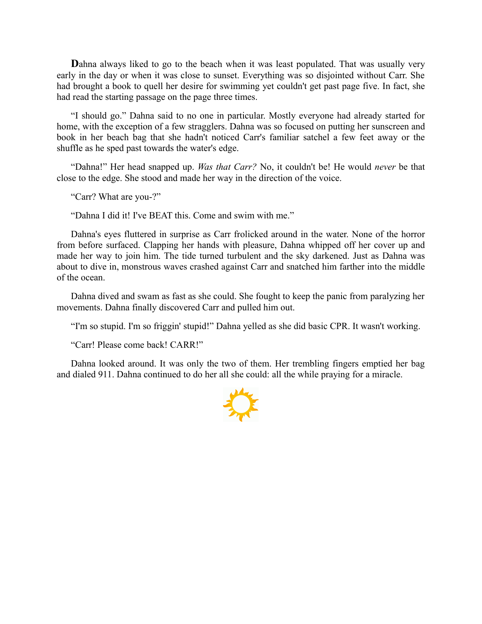**D**ahna always liked to go to the beach when it was least populated. That was usually very early in the day or when it was close to sunset. Everything was so disjointed without Carr. She had brought a book to quell her desire for swimming yet couldn't get past page five. In fact, she had read the starting passage on the page three times.

"I should go." Dahna said to no one in particular. Mostly everyone had already started for home, with the exception of a few stragglers. Dahna was so focused on putting her sunscreen and book in her beach bag that she hadn't noticed Carr's familiar satchel a few feet away or the shuffle as he sped past towards the water's edge.

"Dahna!" Her head snapped up. *Was that Carr?* No, it couldn't be! He would *never* be that close to the edge. She stood and made her way in the direction of the voice.

"Carr? What are you-?"

"Dahna I did it! I've BEAT this. Come and swim with me."

Dahna's eyes fluttered in surprise as Carr frolicked around in the water. None of the horror from before surfaced. Clapping her hands with pleasure, Dahna whipped off her cover up and made her way to join him. The tide turned turbulent and the sky darkened. Just as Dahna was about to dive in, monstrous waves crashed against Carr and snatched him farther into the middle of the ocean.

Dahna dived and swam as fast as she could. She fought to keep the panic from paralyzing her movements. Dahna finally discovered Carr and pulled him out.

"I'm so stupid. I'm so friggin' stupid!" Dahna yelled as she did basic CPR. It wasn't working.

"Carr! Please come back! CARR!"

Dahna looked around. It was only the two of them. Her trembling fingers emptied her bag and dialed 911. Dahna continued to do her all she could: all the while praying for a miracle.

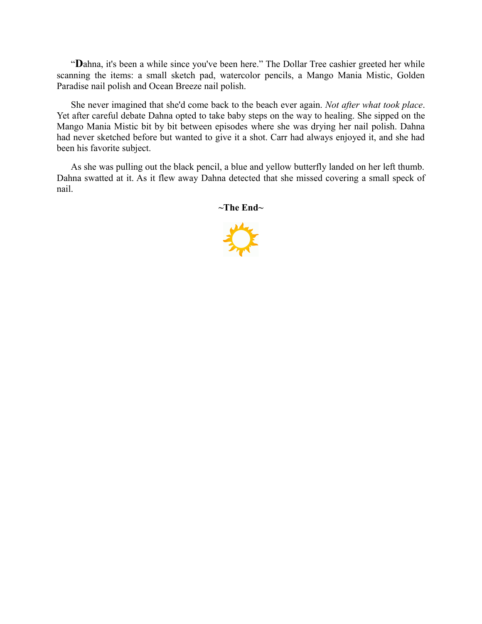"**D**ahna, it's been a while since you've been here." The Dollar Tree cashier greeted her while scanning the items: a small sketch pad, watercolor pencils, a Mango Mania Mistic, Golden Paradise nail polish and Ocean Breeze nail polish.

She never imagined that she'd come back to the beach ever again. *Not after what took place*. Yet after careful debate Dahna opted to take baby steps on the way to healing. She sipped on the Mango Mania Mistic bit by bit between episodes where she was drying her nail polish. Dahna had never sketched before but wanted to give it a shot. Carr had always enjoyed it, and she had been his favorite subject.

As she was pulling out the black pencil, a blue and yellow butterfly landed on her left thumb. Dahna swatted at it. As it flew away Dahna detected that she missed covering a small speck of nail.

**~The End~**

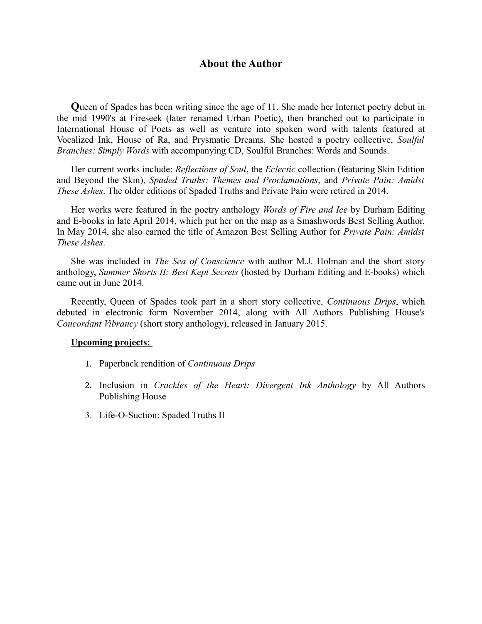#### **About the Author**

**Q**ueen of Spades has been writing since the age of 11. She made her Internet poetry debut in the mid 1990's at Fireseek (later renamed Urban Poetic), then branched out to participate in International House of Poets as well as venture into spoken word with talents featured at Vocalized Ink, House of Ra, and Prysmatic Dreams. She hosted a poetry collective, *Soulful Branches: Simply Words* with accompanying CD, Soulful Branches: Words and Sounds.

Her current works include: *Reflections of Soul*, the *Eclectic* collection (featuring Skin Edition and Beyond the Skin), *Spaded Truths: Themes and Proclamations*, and *Private Pain: Amidst These Ashes*. The older editions of Spaded Truths and Private Pain were retired in 2014.

Her works were featured in the poetry anthology *Words of Fire and Ice* by Durham Editing and E-books in late April 2014, which put her on the map as a Smashwords Best Selling Author. In May 2014, she also earned the title of Amazon Best Selling Author for *Private Pain: Amidst These Ashes*.

She was included in *The Sea of Conscience* with author M.J. Holman and the short story anthology, *Summer Shorts II: Best Kept Secrets* (hosted by Durham Editing and E-books) which came out in June 2014.

Recently, Queen of Spades took part in a short story collective, *Continuous Drips*, which debuted in electronic form November 2014, along with All Authors Publishing House's *Concordant Vibrancy* (short story anthology), released in January 2015.

#### **Upcoming projects:**

- 1. Paperback rendition of *Continuous Drips*
- 2. Inclusion in *Crackles of the Heart: Divergent Ink Anthology* by All Authors Publishing House
- 3. Life-O-Suction: Spaded Truths II